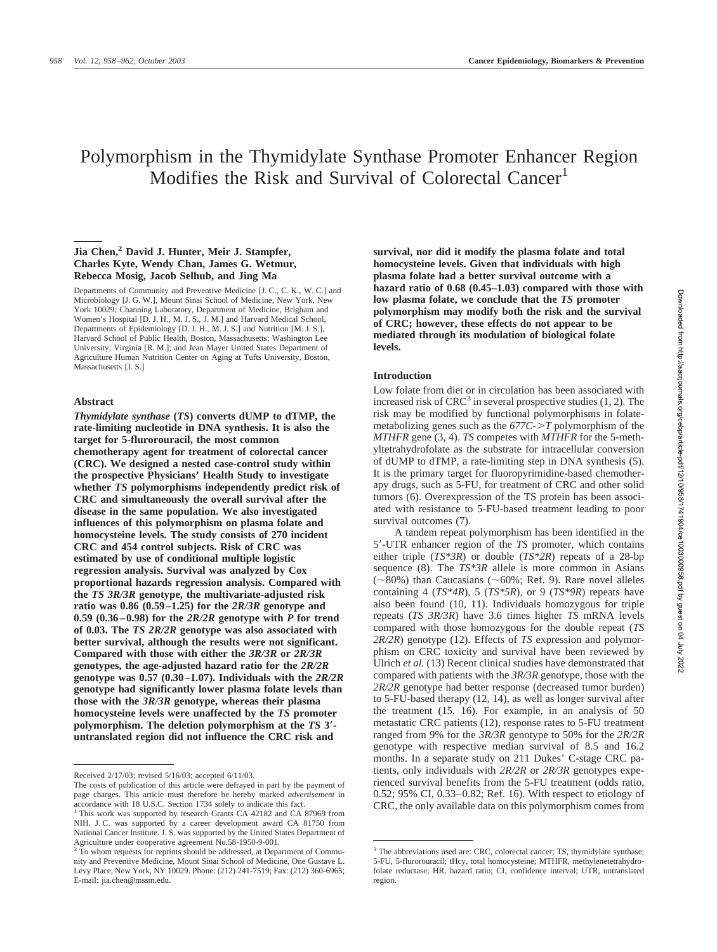# Polymorphism in the Thymidylate Synthase Promoter Enhancer Region Modifies the Risk and Survival of Colorectal Cancer<sup>1</sup>

## **Jia Chen,2 David J. Hunter, Meir J. Stampfer, Charles Kyte, Wendy Chan, James G. Wetmur, Rebecca Mosig, Jacob Selhub, and Jing Ma**

Departments of Community and Preventive Medicine [J. C., C. K., W. C.] and Microbiology [J. G. W.], Mount Sinai School of Medicine, New York, New York 10029; Channing Laboratory, Department of Medicine, Brigham and Women's Hospital [D. J. H., M. J. S., J. M.] and Harvard Medical School, Departments of Epidemiology [D. J. H., M. J. S.] and Nutrition [M. J. S.], Harvard School of Public Health, Boston, Massachusetts; Washington Lee University, Virginia [R. M.]; and Jean Mayer United States Department of Agriculture Human Nutrition Center on Aging at Tufts University, Boston, Massachusetts [J. S.]

#### **Abstract**

*Thymidylate synthase* **(***TS***) converts dUMP to dTMP, the rate-limiting nucleotide in DNA synthesis. It is also the target for 5-flurorouracil, the most common chemotherapy agent for treatment of colorectal cancer (CRC). We designed a nested case-control study within the prospective Physicians' Health Study to investigate whether** *TS* **polymorphisms independently predict risk of CRC and simultaneously the overall survival after the disease in the same population. We also investigated influences of this polymorphism on plasma folate and homocysteine levels. The study consists of 270 incident CRC and 454 control subjects. Risk of CRC was estimated by use of conditional multiple logistic regression analysis. Survival was analyzed by Cox proportional hazards regression analysis. Compared with the** *TS 3R/3R* **genotype, the multivariate-adjusted risk ratio was 0.86 (0.59–1.25) for the** *2R/3R* **genotype and 0.59 (0.36–0.98) for the** *2R/2R* **genotype with** *P* **for trend of 0.03. The** *TS 2R/2R* **genotype was also associated with better survival, although the results were not significant. Compared with those with either the** *3R/3R* **or** *2R/3R* **genotypes, the age-adjusted hazard ratio for the** *2R/2R* **genotype was 0.57 (0.30–1.07). Individuals with the** *2R/2R* **genotype had significantly lower plasma folate levels than those with the** *3R/3R* **genotype, whereas their plasma homocysteine levels were unaffected by the** *TS* **promoter polymorphism. The deletion polymorphism at the** *TS* **3 untranslated region did not influence the CRC risk and**

**survival, nor did it modify the plasma folate and total homocysteine levels. Given that individuals with high plasma folate had a better survival outcome with a hazard ratio of 0.68 (0.45–1.03) compared with those with low plasma folate, we conclude that the** *TS* **promoter polymorphism may modify both the risk and the survival of CRC; however, these effects do not appear to be mediated through its modulation of biological folate levels.**

### **Introduction**

Low folate from diet or in circulation has been associated with increased risk of  $CRC<sup>3</sup>$  in several prospective studies  $(1, 2)$ . The risk may be modified by functional polymorphisms in folatemetabolizing genes such as the *677C-T* polymorphism of the *MTHFR* gene (3, 4). *TS* competes with *MTHFR* for the 5-methyltetrahydrofolate as the substrate for intracellular conversion of dUMP to dTMP, a rate-limiting step in DNA synthesis (5). It is the primary target for fluoropyrimidine-based chemotherapy drugs, such as 5-FU, for treatment of CRC and other solid tumors (6). Overexpression of the TS protein has been associated with resistance to 5-FU-based treatment leading to poor survival outcomes (7).

A tandem repeat polymorphism has been identified in the 5--UTR enhancer region of the *TS* promoter, which contains either triple (*TS\*3R*) or double (*TS\*2R*) repeats of a 28-bp sequence (8). The *TS\*3R* allele is more common in Asians  $(\sim 80\%)$  than Caucasians ( $\sim 60\%$ ; Ref. 9). Rare novel alleles containing 4 (*TS\*4R*), 5 (*TS\*5R*), or 9 (*TS\*9R*) repeats have also been found (10, 11). Individuals homozygous for triple repeats (*TS 3R/3R*) have 3.6 times higher *TS* mRNA levels compared with those homozygous for the double repeat (*TS 2R/2R*) genotype (12). Effects of *TS* expression and polymorphism on CRC toxicity and survival have been reviewed by Ulrich *et al.* (13) Recent clinical studies have demonstrated that compared with patients with the *3R/3R* genotype, those with the *2R/2R* genotype had better response (decreased tumor burden) to 5-FU-based therapy (12, 14), as well as longer survival after the treatment (15, 16). For example, in an analysis of 50 metastatic CRC patients (12), response rates to 5-FU treatment ranged from 9% for the *3R/3R* genotype to 50% for the *2R/2R* genotype with respective median survival of 8.5 and 16.2 months. In a separate study on 211 Dukes' C-stage CRC patients, only individuals with *2R/2R* or *2R/3R* genotypes experienced survival benefits from the 5-FU treatment (odds ratio, 0.52; 95% CI, 0.33–0.82; Ref. 16). With respect to etiology of CRC, the only available data on this polymorphism comes from

Received 2/17/03; revised 5/16/03; accepted 6/11/03.

The costs of publication of this article were defrayed in part by the payment of page charges. This article must therefore be hereby marked *advertisement* in accordance with 18 U.S.C. Section 1734 solely to indicate this fact.

<sup>&</sup>lt;sup>1</sup> This work was supported by research Grants CA 42182 and CA 87969 from NIH. J. C. was supported by a career development award CA 81750 from National Cancer Institute. J. S. was supported by the United States Department of Agriculture under cooperative agreement No.58-1950-9-001.

<sup>&</sup>lt;sup>2</sup> To whom requests for reprints should be addressed, at Department of Community and Preventive Medicine, Mount Sinai School of Medicine, One Gustave L. Levy Place, New York, NY 10029. Phone: (212) 241-7519; Fax: (212) 360-6965; E-mail: jia.chen@mssm.edu.

<sup>&</sup>lt;sup>3</sup> The abbreviations used are: CRC, colorectal cancer; TS, thymidylate synthase; 5-FU, 5-flurorouracil; tHcy, total homocysteine; MTHFR, methylenetetrahydrofolate reductase; HR, hazard ratio; CI, confidence interval; UTR, untranslated region.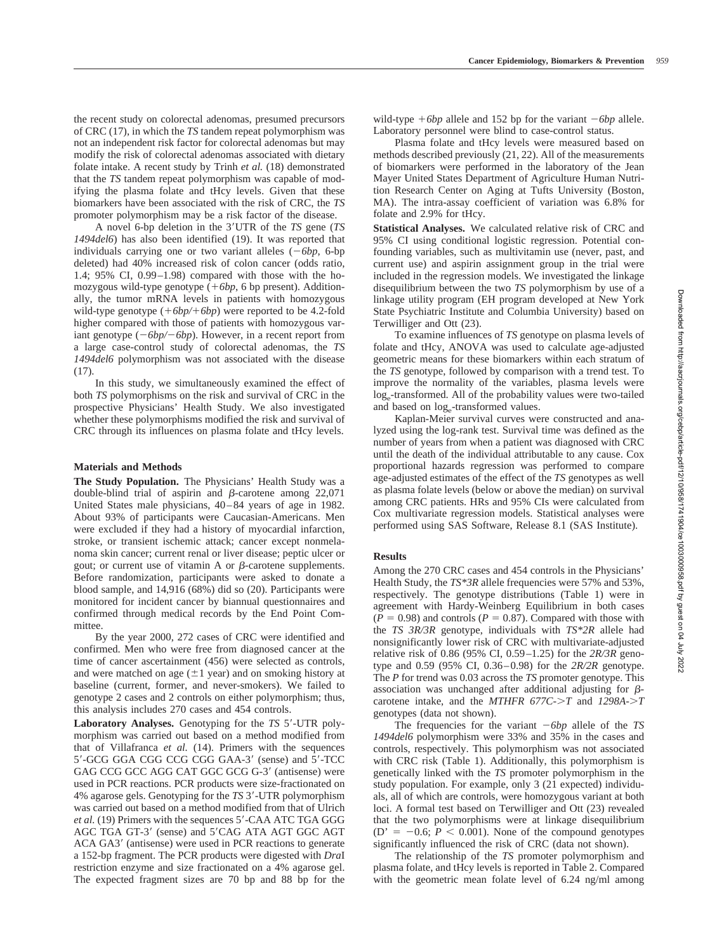the recent study on colorectal adenomas, presumed precursors of CRC (17), in which the *TS* tandem repeat polymorphism was not an independent risk factor for colorectal adenomas but may modify the risk of colorectal adenomas associated with dietary folate intake. A recent study by Trinh *et al.* (18) demonstrated that the *TS* tandem repeat polymorphism was capable of modifying the plasma folate and tHcy levels. Given that these biomarkers have been associated with the risk of CRC, the *TS* promoter polymorphism may be a risk factor of the disease.

A novel 6-bp deletion in the 3-UTR of the *TS* gene (*TS 1494del6*) has also been identified (19). It was reported that individuals carrying one or two variant alleles  $(-6bp, 6bp)$ deleted) had 40% increased risk of colon cancer (odds ratio, 1.4; 95% CI, 0.99–1.98) compared with those with the homozygous wild-type genotype  $(+6bp, 6bp$  present). Additionally, the tumor mRNA levels in patients with homozygous wild-type genotype  $(+6bp/+6bp)$  were reported to be 4.2-fold higher compared with those of patients with homozygous variant genotype  $(-6bp/-6bp)$ . However, in a recent report from a large case-control study of colorectal adenomas, the *TS 1494del6* polymorphism was not associated with the disease  $(17)$ .

In this study, we simultaneously examined the effect of both *TS* polymorphisms on the risk and survival of CRC in the prospective Physicians' Health Study. We also investigated whether these polymorphisms modified the risk and survival of CRC through its influences on plasma folate and tHcy levels.

# **Materials and Methods**

**The Study Population.** The Physicians' Health Study was a double-blind trial of aspirin and  $\beta$ -carotene among 22,071 United States male physicians, 40–84 years of age in 1982. About 93% of participants were Caucasian-Americans. Men were excluded if they had a history of myocardial infarction, stroke, or transient ischemic attack; cancer except nonmelanoma skin cancer; current renal or liver disease; peptic ulcer or gout; or current use of vitamin A or  $\beta$ -carotene supplements. Before randomization, participants were asked to donate a blood sample, and 14,916 (68%) did so (20). Participants were monitored for incident cancer by biannual questionnaires and confirmed through medical records by the End Point Committee.

By the year 2000, 272 cases of CRC were identified and confirmed. Men who were free from diagnosed cancer at the time of cancer ascertainment (456) were selected as controls, and were matched on age  $(\pm 1 \text{ year})$  and on smoking history at baseline (current, former, and never-smokers). We failed to genotype 2 cases and 2 controls on either polymorphism; thus, this analysis includes 270 cases and 454 controls.

Laboratory Analyses. Genotyping for the *TS* 5'-UTR polymorphism was carried out based on a method modified from that of Villafranca *et al.* (14). Primers with the sequences 5'-GCG GGA CGG CCG CGG GAA-3' (sense) and 5'-TCC GAG CCG GCC AGG CAT GGC GCG G-3' (antisense) were used in PCR reactions. PCR products were size-fractionated on 4% agarose gels. Genotyping for the *TS* 3--UTR polymorphism was carried out based on a method modified from that of Ulrich et al. (19) Primers with the sequences 5'-CAA ATC TGA GGG AGC TGA GT-3' (sense) and 5'CAG ATA AGT GGC AGT ACA GA3' (antisense) were used in PCR reactions to generate a 152-bp fragment. The PCR products were digested with *Dra*I restriction enzyme and size fractionated on a 4% agarose gel. The expected fragment sizes are 70 bp and 88 bp for the

wild-type  $+6bp$  allele and 152 bp for the variant  $-6bp$  allele. Laboratory personnel were blind to case-control status.

Plasma folate and tHcy levels were measured based on methods described previously (21, 22). All of the measurements of biomarkers were performed in the laboratory of the Jean Mayer United States Department of Agriculture Human Nutrition Research Center on Aging at Tufts University (Boston, MA). The intra-assay coefficient of variation was 6.8% for folate and 2.9% for tHcy.

**Statistical Analyses.** We calculated relative risk of CRC and 95% CI using conditional logistic regression. Potential confounding variables, such as multivitamin use (never, past, and current use) and aspirin assignment group in the trial were included in the regression models. We investigated the linkage disequilibrium between the two *TS* polymorphism by use of a linkage utility program (EH program developed at New York State Psychiatric Institute and Columbia University) based on Terwilliger and Ott (23).

To examine influences of *TS* genotype on plasma levels of folate and tHcy, ANOVA was used to calculate age-adjusted geometric means for these biomarkers within each stratum of the *TS* genotype, followed by comparison with a trend test. To improve the normality of the variables, plasma levels were log<sub>e</sub>-transformed. All of the probability values were two-tailed and based on  $log_e$ -transformed values.

Kaplan-Meier survival curves were constructed and analyzed using the log-rank test. Survival time was defined as the number of years from when a patient was diagnosed with CRC until the death of the individual attributable to any cause. Cox proportional hazards regression was performed to compare age-adjusted estimates of the effect of the *TS* genotypes as well as plasma folate levels (below or above the median) on survival among CRC patients. HRs and 95% CIs were calculated from Cox multivariate regression models. Statistical analyses were performed using SAS Software, Release 8.1 (SAS Institute).

# **Results**

Among the 270 CRC cases and 454 controls in the Physicians' Health Study, the *TS\*3R* allele frequencies were 57% and 53%, respectively. The genotype distributions (Table 1) were in agreement with Hardy-Weinberg Equilibrium in both cases  $(P = 0.98)$  and controls  $(P = 0.87)$ . Compared with those with the *TS 3R/3R* genotype, individuals with *TS\*2R* allele had nonsignificantly lower risk of CRC with multivariate-adjusted relative risk of 0.86 (95% CI, 0.59–1.25) for the *2R/3R* genotype and 0.59 (95% CI, 0.36–0.98) for the *2R/2R* genotype. The *P* for trend was 0.03 across the *TS* promoter genotype. This association was unchanged after additional adjusting for  $\beta$ carotene intake, and the *MTHFR 677C-T* and *1298A-T* genotypes (data not shown).

The frequencies for the variant  $-6bp$  allele of the *TS 1494del6* polymorphism were 33% and 35% in the cases and controls, respectively. This polymorphism was not associated with CRC risk (Table 1). Additionally, this polymorphism is genetically linked with the *TS* promoter polymorphism in the study population. For example, only 3 (21 expected) individuals, all of which are controls, were homozygous variant at both loci. A formal test based on Terwilliger and Ott (23) revealed that the two polymorphisms were at linkage disequilibrium  $(D' = -0.6; P < 0.001)$ . None of the compound genotypes significantly influenced the risk of CRC (data not shown).

The relationship of the *TS* promoter polymorphism and plasma folate, and tHcy levels is reported in Table 2. Compared with the geometric mean folate level of 6.24 ng/ml among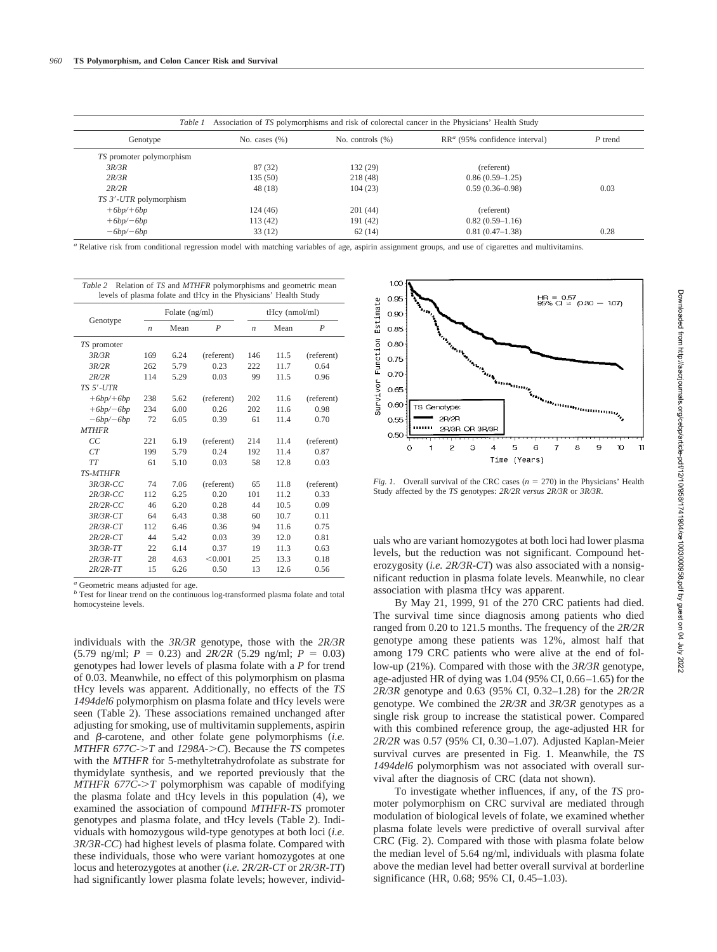| Association of TS polymorphisms and risk of colorectal cancer in the Physicians' Health Study<br>Table 1 |                   |                     |                                  |           |  |  |  |
|----------------------------------------------------------------------------------------------------------|-------------------|---------------------|----------------------------------|-----------|--|--|--|
| Genotype                                                                                                 | No. cases $(\% )$ | No. controls $(\%)$ | $RR^a$ (95% confidence interval) | $P$ trend |  |  |  |
| TS promoter polymorphism                                                                                 |                   |                     |                                  |           |  |  |  |
| 3R/3R                                                                                                    | 87 (32)           | 132 (29)            | (referent)                       |           |  |  |  |
| 2R/3R                                                                                                    | 135(50)           | 218 (48)            | $0.86(0.59-1.25)$                |           |  |  |  |
| 2R/2R                                                                                                    | 48 (18)           | 104(23)             | $0.59(0.36 - 0.98)$              | 0.03      |  |  |  |
| TS 3'-UTR polymorphism                                                                                   |                   |                     |                                  |           |  |  |  |
| $+6bp/+6bp$                                                                                              | 124(46)           | 201(44)             | (referent)                       |           |  |  |  |
| $+6bp/-6bp$                                                                                              | 113(42)           | 191(42)             | $0.82(0.59-1.16)$                |           |  |  |  |
| $-6bp/-6bp$                                                                                              | 33(12)            | 62(14)              | $0.81(0.47-1.38)$                | 0.28      |  |  |  |

*<sup>a</sup>* Relative risk from conditional regression model with matching variables of age, aspirin assignment groups, and use of cigarettes and multivitamins.

| levels of plasma folate and tHcy in the Physicians' Health Study |                  |      |                  |                   |      |                  |  |  |
|------------------------------------------------------------------|------------------|------|------------------|-------------------|------|------------------|--|--|
| Genotype                                                         | Folate (ng/ml)   |      |                  | $t$ Hcy (nmol/ml) |      |                  |  |  |
|                                                                  | $\boldsymbol{n}$ | Mean | $\boldsymbol{P}$ | $\boldsymbol{n}$  | Mean | $\boldsymbol{P}$ |  |  |
| TS promoter                                                      |                  |      |                  |                   |      |                  |  |  |
| 3R/3R                                                            | 169              | 6.24 | (referent)       | 146               | 11.5 | (referent)       |  |  |
| 3R/2R                                                            | 262              | 5.79 | 0.23             | 222               | 11.7 | 0.64             |  |  |
| 2R/2R                                                            | 114              | 5.29 | 0.03             | 99                | 11.5 | 0.96             |  |  |
| TS 5'-UTR                                                        |                  |      |                  |                   |      |                  |  |  |
| $+6bp/+6bp$                                                      | 238              | 5.62 | (referent)       | 202               | 11.6 | (referent)       |  |  |
| $+6bp/-6bp$                                                      | 234              | 6.00 | 0.26             | 202               | 11.6 | 0.98             |  |  |
| $-6bp/-6bp$                                                      | 72               | 6.05 | 0.39             | 61                | 11.4 | 0.70             |  |  |
| <b>MTHFR</b>                                                     |                  |      |                  |                   |      |                  |  |  |
| СC                                                               | 221              | 6.19 | (referent)       | 214               | 11.4 | (referent)       |  |  |
| CT                                                               | 199              | 5.79 | 0.24             | 192               | 11.4 | 0.87             |  |  |
| <b>TT</b>                                                        | 61               | 5.10 | 0.03             | 58                | 12.8 | 0.03             |  |  |
| <b>TS-MTHFR</b>                                                  |                  |      |                  |                   |      |                  |  |  |
| $3R/3R$ -CC                                                      | 74               | 7.06 | (referent)       | 65                | 11.8 | (referent)       |  |  |
| $2R/3R$ -CC                                                      | 112              | 6.25 | 0.20             | 101               | 11.2 | 0.33             |  |  |
| $2R/2R$ -CC                                                      | 46               | 6.20 | 0.28             | 44                | 10.5 | 0.09             |  |  |
| $3R/3R$ - $CT$                                                   | 64               | 6.43 | 0.38             | 60                | 10.7 | 0.11             |  |  |
| $2R/3R$ - $CT$                                                   | 112              | 6.46 | 0.36             | 94                | 11.6 | 0.75             |  |  |
| $2R/2R$ -CT                                                      | 44               | 5.42 | 0.03             | 39                | 12.0 | 0.81             |  |  |
| $3R/3R$ - $TT$                                                   | 22               | 6.14 | 0.37             | 19                | 11.3 | 0.63             |  |  |
| $2R/3R$ - $TT$                                                   | 28               | 4.63 | < 0.001          | 25                | 13.3 | 0.18             |  |  |
| $2R/2R$ -TT                                                      | 15               | 6.26 | 0.50             | 13                | 12.6 | 0.56             |  |  |

*Table 2* Relation of *TS* and *MTHFR* polymorphisms and geometric mean

*<sup>a</sup>* Geometric means adjusted for age.

*b* Test for linear trend on the continuous log-transformed plasma folate and total homocysteine levels.

individuals with the *3R/3R* genotype, those with the *2R/3R*  $(5.79 \text{ ng/ml}; P = 0.23)$  and  $2R/2R$  (5.29 ng/ml;  $P = 0.03$ ) genotypes had lower levels of plasma folate with a *P* for trend of 0.03. Meanwhile, no effect of this polymorphism on plasma tHcy levels was apparent. Additionally, no effects of the *TS 1494del6* polymorphism on plasma folate and tHcy levels were seen (Table 2). These associations remained unchanged after adjusting for smoking, use of multivitamin supplements, aspirin and  $\beta$ -carotene, and other folate gene polymorphisms (*i.e. MTHFR 677C-T* and *1298A-C*). Because the *TS* competes with the *MTHFR* for 5-methyltetrahydrofolate as substrate for thymidylate synthesis, and we reported previously that the *MTHFR 677C-T* polymorphism was capable of modifying the plasma folate and tHcy levels in this population (4), we examined the association of compound *MTHFR-TS* promoter genotypes and plasma folate, and tHcy levels (Table 2). Individuals with homozygous wild-type genotypes at both loci (*i.e. 3R/3R-CC*) had highest levels of plasma folate. Compared with these individuals, those who were variant homozygotes at one locus and heterozygotes at another (*i.e. 2R/2R-CT* or *2R/3R-TT*) had significantly lower plasma folate levels; however, individ-



*Fig. 1.* Overall survival of the CRC cases  $(n = 270)$  in the Physicians' Health Study affected by the *TS* genotypes: *2R/2R versus 2R/3R* or *3R/3R*.

uals who are variant homozygotes at both loci had lower plasma levels, but the reduction was not significant. Compound heterozygosity (*i.e. 2R/3R-CT*) was also associated with a nonsignificant reduction in plasma folate levels. Meanwhile, no clear association with plasma tHcy was apparent.

By May 21, 1999, 91 of the 270 CRC patients had died. The survival time since diagnosis among patients who died ranged from 0.20 to 121.5 months. The frequency of the *2R/2R* genotype among these patients was 12%, almost half that among 179 CRC patients who were alive at the end of follow-up (21%). Compared with those with the *3R/3R* genotype, age-adjusted HR of dying was 1.04 (95% CI, 0.66–1.65) for the *2R/3R* genotype and 0.63 (95% CI, 0.32–1.28) for the *2R/2R* genotype. We combined the *2R/3R* and *3R/3R* genotypes as a single risk group to increase the statistical power. Compared with this combined reference group, the age-adjusted HR for *2R/2R* was 0.57 (95% CI, 0.30–1.07). Adjusted Kaplan-Meier survival curves are presented in Fig. 1. Meanwhile, the *TS 1494del6* polymorphism was not associated with overall survival after the diagnosis of CRC (data not shown).

To investigate whether influences, if any, of the *TS* promoter polymorphism on CRC survival are mediated through modulation of biological levels of folate, we examined whether plasma folate levels were predictive of overall survival after CRC (Fig. 2). Compared with those with plasma folate below the median level of 5.64 ng/ml, individuals with plasma folate above the median level had better overall survival at borderline significance (HR, 0.68; 95% CI, 0.45–1.03).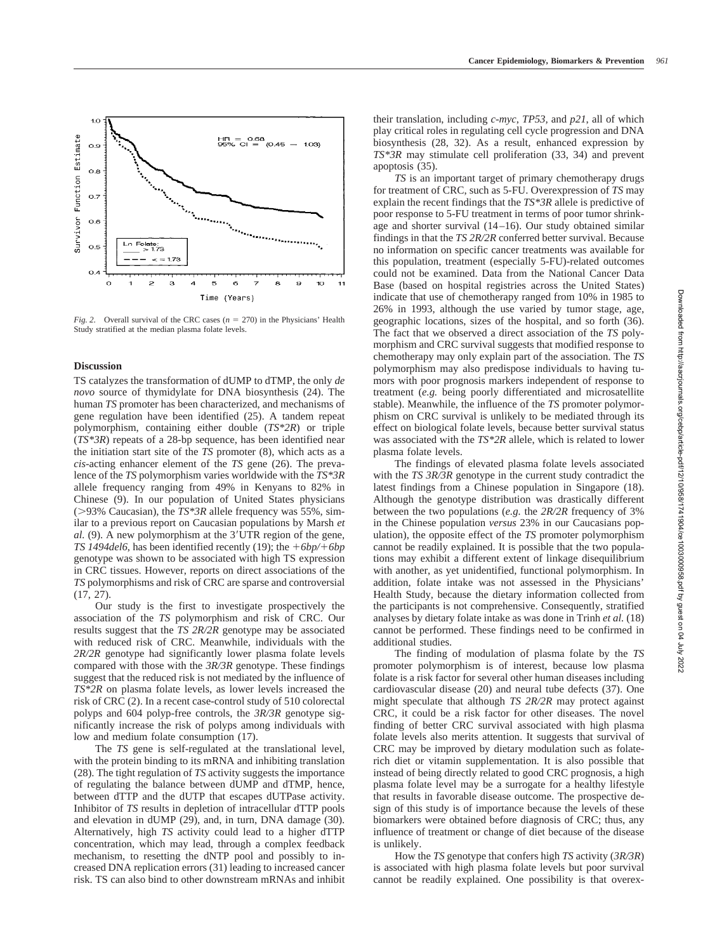

*Fig. 2.* Overall survival of the CRC cases  $(n = 270)$  in the Physicians' Health Study stratified at the median plasma folate levels.

## **Discussion**

TS catalyzes the transformation of dUMP to dTMP, the only *de novo* source of thymidylate for DNA biosynthesis (24). The human *TS* promoter has been characterized, and mechanisms of gene regulation have been identified (25). A tandem repeat polymorphism, containing either double (*TS\*2R*) or triple (*TS\*3R*) repeats of a 28-bp sequence, has been identified near the initiation start site of the *TS* promoter (8), which acts as a *cis-*acting enhancer element of the *TS* gene (26). The prevalence of the *TS* polymorphism varies worldwide with the *TS\*3R* allele frequency ranging from 49% in Kenyans to 82% in Chinese (9). In our population of United States physicians (93% Caucasian), the *TS\*3R* allele frequency was 55%, similar to a previous report on Caucasian populations by Marsh *et* al. (9). A new polymorphism at the 3'UTR region of the gene, *TS 1494del6*, has been identified recently (19); the  $+6bp/+6bp$ genotype was shown to be associated with high TS expression in CRC tissues. However, reports on direct associations of the *TS* polymorphisms and risk of CRC are sparse and controversial (17, 27).

Our study is the first to investigate prospectively the association of the *TS* polymorphism and risk of CRC. Our results suggest that the *TS 2R/2R* genotype may be associated with reduced risk of CRC. Meanwhile, individuals with the *2R/2R* genotype had significantly lower plasma folate levels compared with those with the *3R/3R* genotype. These findings suggest that the reduced risk is not mediated by the influence of *TS\*2R* on plasma folate levels, as lower levels increased the risk of CRC (2). In a recent case-control study of 510 colorectal polyps and 604 polyp-free controls, the *3R/3R* genotype significantly increase the risk of polyps among individuals with low and medium folate consumption (17).

The *TS* gene is self-regulated at the translational level, with the protein binding to its mRNA and inhibiting translation (28). The tight regulation of *TS* activity suggests the importance of regulating the balance between dUMP and dTMP, hence, between dTTP and the dUTP that escapes dUTPase activity. Inhibitor of *TS* results in depletion of intracellular dTTP pools and elevation in dUMP (29), and, in turn, DNA damage (30). Alternatively, high *TS* activity could lead to a higher dTTP concentration, which may lead, through a complex feedback mechanism, to resetting the dNTP pool and possibly to increased DNA replication errors (31) leading to increased cancer risk. TS can also bind to other downstream mRNAs and inhibit

their translation, including *c-myc*, *TP53,* and *p21*, all of which play critical roles in regulating cell cycle progression and DNA biosynthesis (28, 32). As a result, enhanced expression by *TS\*3R* may stimulate cell proliferation (33, 34) and prevent apoptosis (35).

*TS* is an important target of primary chemotherapy drugs for treatment of CRC, such as 5-FU. Overexpression of *TS* may explain the recent findings that the *TS\*3R* allele is predictive of poor response to 5-FU treatment in terms of poor tumor shrinkage and shorter survival (14–16). Our study obtained similar findings in that the *TS 2R/2R* conferred better survival. Because no information on specific cancer treatments was available for this population, treatment (especially 5-FU)-related outcomes could not be examined. Data from the National Cancer Data Base (based on hospital registries across the United States) indicate that use of chemotherapy ranged from 10% in 1985 to 26% in 1993, although the use varied by tumor stage, age, geographic locations, sizes of the hospital, and so forth (36). The fact that we observed a direct association of the *TS* polymorphism and CRC survival suggests that modified response to chemotherapy may only explain part of the association. The *TS* polymorphism may also predispose individuals to having tumors with poor prognosis markers independent of response to treatment (*e.g.* being poorly differentiated and microsatellite stable). Meanwhile, the influence of the *TS* promoter polymorphism on CRC survival is unlikely to be mediated through its effect on biological folate levels, because better survival status was associated with the *TS\*2R* allele, which is related to lower plasma folate levels.

The findings of elevated plasma folate levels associated with the *TS 3R/3R* genotype in the current study contradict the latest findings from a Chinese population in Singapore (18). Although the genotype distribution was drastically different between the two populations (*e.g.* the *2R/2R* frequency of 3% in the Chinese population *versus* 23% in our Caucasians population), the opposite effect of the *TS* promoter polymorphism cannot be readily explained. It is possible that the two populations may exhibit a different extent of linkage disequilibrium with another, as yet unidentified, functional polymorphism. In addition, folate intake was not assessed in the Physicians' Health Study, because the dietary information collected from the participants is not comprehensive. Consequently, stratified analyses by dietary folate intake as was done in Trinh *et al.* (18) cannot be performed. These findings need to be confirmed in additional studies.

The finding of modulation of plasma folate by the *TS* promoter polymorphism is of interest, because low plasma folate is a risk factor for several other human diseases including cardiovascular disease (20) and neural tube defects (37). One might speculate that although *TS 2R/2R* may protect against CRC, it could be a risk factor for other diseases. The novel finding of better CRC survival associated with high plasma folate levels also merits attention. It suggests that survival of CRC may be improved by dietary modulation such as folaterich diet or vitamin supplementation. It is also possible that instead of being directly related to good CRC prognosis, a high plasma folate level may be a surrogate for a healthy lifestyle that results in favorable disease outcome. The prospective design of this study is of importance because the levels of these biomarkers were obtained before diagnosis of CRC; thus, any influence of treatment or change of diet because of the disease is unlikely.

How the *TS* genotype that confers high *TS* activity (*3R/3R*) is associated with high plasma folate levels but poor survival cannot be readily explained. One possibility is that overex